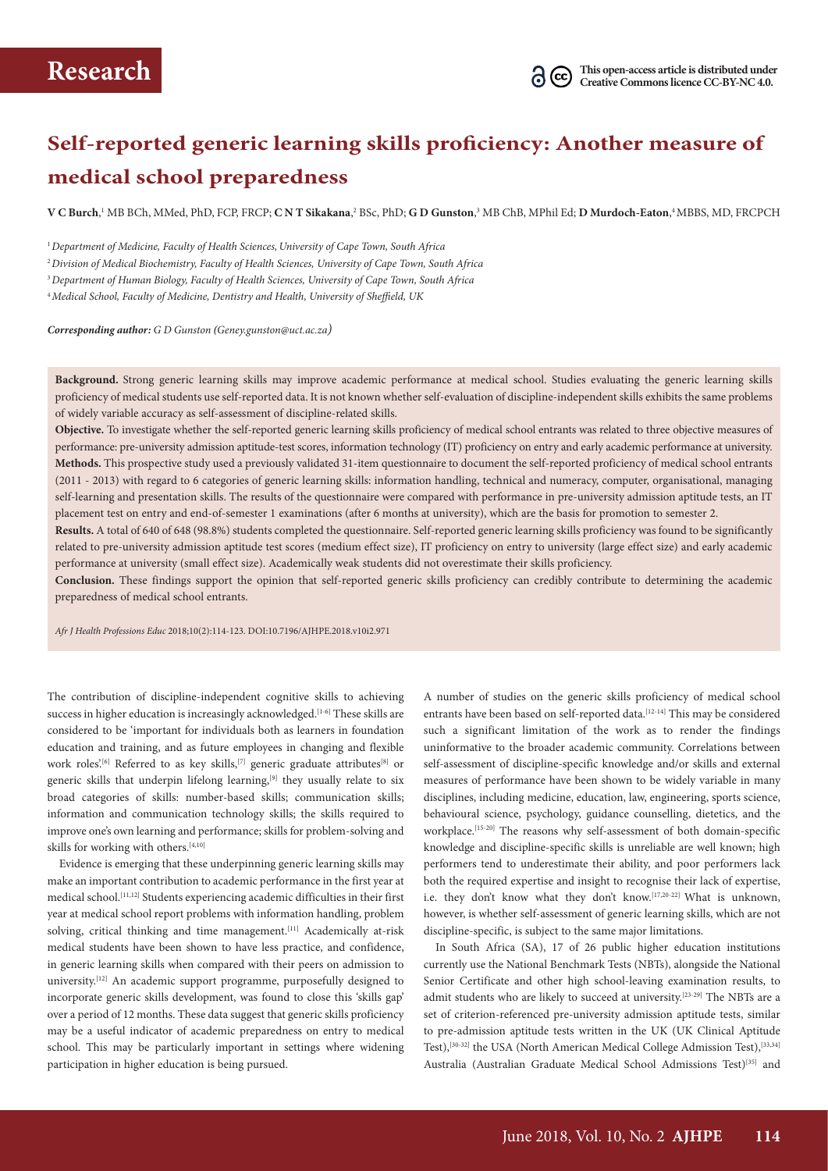# **Self-reported generic learning skills proficiency: Another measure of medical school preparedness**

 ${\bf V}$  **C Burch**, <sup>1</sup> MB BCh, MMed, PhD, FCP, FRCP; **C N T Sikakana**,<sup>2</sup> BSc, PhD; **G D Gunston**,<sup>3</sup> MB ChB, MPhil Ed; **D Murdoch-Eaton**,4 MBBS, MD, FRCPCH

<sup>1</sup> Department of Medicine, Faculty of Health Sciences, University of Cape Town, South Africa

<sup>2</sup>*Division of Medical Biochemistry, Faculty of Health Sciences, University of Cape Town, South Africa*

<sup>3</sup>*Department of Human Biology, Faculty of Health Sciences, University of Cape Town, South Africa*

<sup>4</sup>*Medical School, Faculty of Medicine, Dentistry and Health, University of Sheffield, UK* 

*Corresponding author: G D Gunston (Geney.gunston@uct.ac.za)*

**Background.** Strong generic learning skills may improve academic performance at medical school. Studies evaluating the generic learning skills proficiency of medical students use self-reported data. It is not known whether self-evaluation of discipline-independent skills exhibits the same problems of widely variable accuracy as self-assessment of discipline-related skills.

**Objective.** To investigate whether the self-reported generic learning skills proficiency of medical school entrants was related to three objective measures of performance: pre-university admission aptitude-test scores, information technology (IT) proficiency on entry and early academic performance at university. **Methods.** This prospective study used a previously validated 31-item questionnaire to document the self-reported proficiency of medical school entrants (2011 - 2013) with regard to 6 categories of generic learning skills: information handling, technical and numeracy, computer, organisational, managing self-learning and presentation skills. The results of the questionnaire were compared with performance in pre-university admission aptitude tests, an IT placement test on entry and end-of-semester 1 examinations (after 6 months at university), which are the basis for promotion to semester 2.

**Results.** A total of 640 of 648 (98.8%) students completed the questionnaire. Self-reported generic learning skills proficiency was found to be significantly related to pre-university admission aptitude test scores (medium effect size), IT proficiency on entry to university (large effect size) and early academic performance at university (small effect size). Academically weak students did not overestimate their skills proficiency.

**Conclusion.** These findings support the opinion that self-reported generic skills proficiency can credibly contribute to determining the academic preparedness of medical school entrants.

*Afr J Health Professions Educ* 2018;10(2):114-123. DOI:10.7196/AJHPE.2018.v10i2.971

The contribution of discipline-independent cognitive skills to achieving success in higher education is increasingly acknowledged.<sup>[1-6]</sup> These skills are considered to be 'important for individuals both as learners in foundation education and training, and as future employees in changing and flexible work roles.<sup>[6]</sup> Referred to as key skills,<sup>[7]</sup> generic graduate attributes<sup>[8]</sup> or generic skills that underpin lifelong learning, $[9]$  they usually relate to six broad categories of skills: number-based skills; communication skills; information and communication technology skills; the skills required to improve one's own learning and performance; skills for problem-solving and skills for working with others.<sup>[4,10]</sup>

Evidence is emerging that these underpinning generic learning skills may make an important contribution to academic performance in the first year at medical school.[11,12] Students experiencing academic difficulties in their first year at medical school report problems with information handling, problem solving, critical thinking and time management.<sup>[11]</sup> Academically at-risk medical students have been shown to have less practice, and confidence, in generic learning skills when compared with their peers on admission to university.<sup>[12]</sup> An academic support programme, purposefully designed to incorporate generic skills development, was found to close this 'skills gap' over a period of 12 months. These data suggest that generic skills proficiency may be a useful indicator of academic preparedness on entry to medical school. This may be particularly important in settings where widening participation in higher education is being pursued.

A number of studies on the generic skills proficiency of medical school entrants have been based on self-reported data.<sup>[12-14]</sup> This may be considered such a significant limitation of the work as to render the findings uninformative to the broader academic community. Correlations between self-assessment of discipline-specific knowledge and/or skills and external measures of performance have been shown to be widely variable in many disciplines, including medicine, education, law, engineering, sports science, behavioural science, psychology, guidance counselling, dietetics, and the workplace.<sup>[15-20]</sup> The reasons why self-assessment of both domain-specific knowledge and discipline-specific skills is unreliable are well known; high performers tend to underestimate their ability, and poor performers lack both the required expertise and insight to recognise their lack of expertise, i.e. they don't know what they don't know.<sup>[17,20-22]</sup> What is unknown, however, is whether self-assessment of generic learning skills, which are not discipline-specific, is subject to the same major limitations.

In South Africa (SA), 17 of 26 public higher education institutions currently use the National Benchmark Tests (NBTs), alongside the National Senior Certificate and other high school-leaving examination results, to admit students who are likely to succeed at university.[23-29] The NBTs are a set of criterion-referenced pre-university admission aptitude tests, similar to pre-admission aptitude tests written in the UK (UK Clinical Aptitude Test),<sup>[30-32]</sup> the USA (North American Medical College Admission Test),<sup>[33,34]</sup> Australia (Australian Graduate Medical School Admissions Test)<sup>[35]</sup> and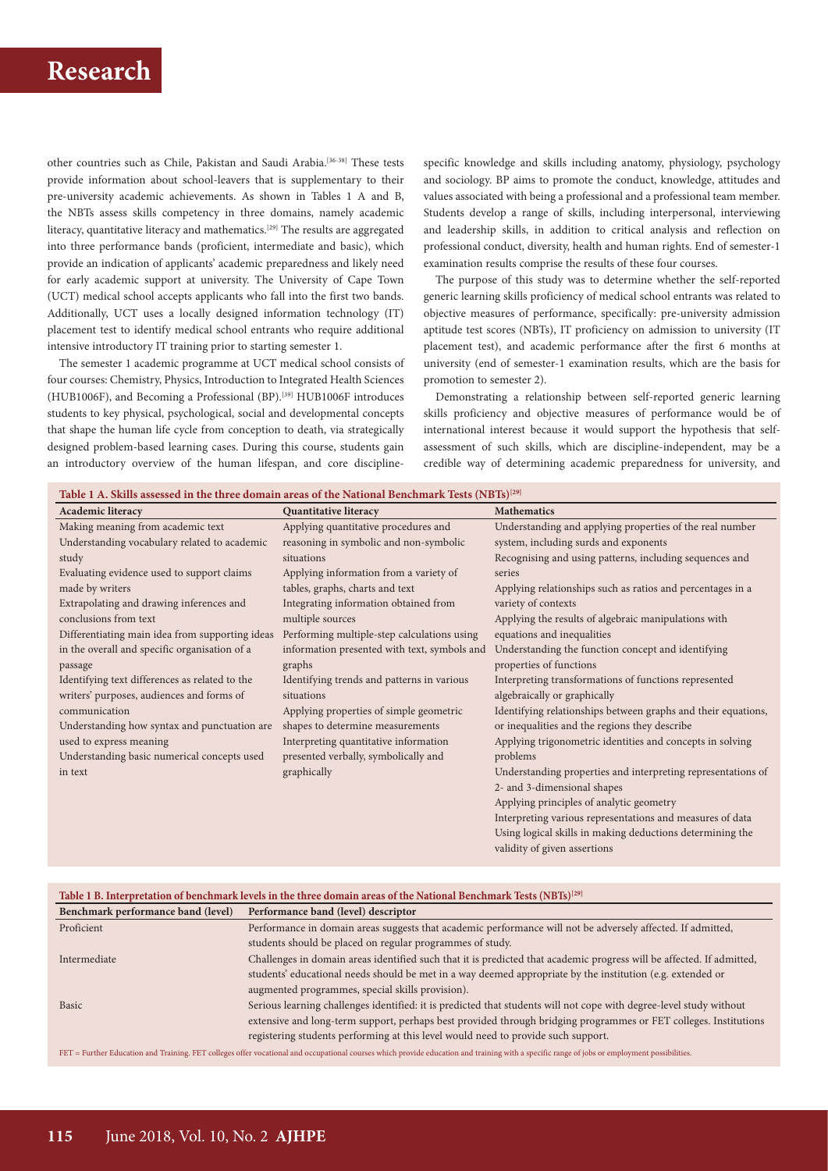other countries such as Chile, Pakistan and Saudi Arabia.[36-38] These tests provide information about school-leavers that is supplementary to their pre-university academic achievements. As shown in Tables 1 A and B, the NBTs assess skills competency in three domains, namely academic literacy, quantitative literacy and mathematics.<sup>[29]</sup> The results are aggregated into three performance bands (proficient, intermediate and basic), which provide an indication of applicants' academic preparedness and likely need for early academic support at university. The University of Cape Town (UCT) medical school accepts applicants who fall into the first two bands. Additionally, UCT uses a locally designed information technology (IT) placement test to identify medical school entrants who require additional intensive introductory IT training prior to starting semester 1.

The semester 1 academic programme at UCT medical school consists of four courses: Chemistry, Physics, Introduction to Integrated Health Sciences (HUB1006F), and Becoming a Professional (BP).[39] HUB1006F introduces students to key physical, psychological, social and developmental concepts that shape the human life cycle from conception to death, via strategically designed problem-based learning cases. During this course, students gain an introductory overview of the human lifespan, and core discipline-

specific knowledge and skills including anatomy, physiology, psychology and sociology. BP aims to promote the conduct, knowledge, attitudes and values associated with being a professional and a professional team member. Students develop a range of skills, including interpersonal, interviewing and leadership skills, in addition to critical analysis and reflection on professional conduct, diversity, health and human rights. End of semester-1 examination results comprise the results of these four courses.

The purpose of this study was to determine whether the self-reported generic learning skills proficiency of medical school entrants was related to objective measures of performance, specifically: pre-university admission aptitude test scores (NBTs), IT proficiency on admission to university (IT placement test), and academic performance after the first 6 months at university (end of semester-1 examination results, which are the basis for promotion to semester 2).

Demonstrating a relationship between self-reported generic learning skills proficiency and objective measures of performance would be of international interest because it would support the hypothesis that selfassessment of such skills, which are discipline-independent, may be a credible way of determining academic preparedness for university, and

validity of given assertions

| Table 1 A. Skills assessed in the three domain areas of the National Benchmark Tests $(NBTs)^{[29]}$ |  |  |
|------------------------------------------------------------------------------------------------------|--|--|
|                                                                                                      |  |  |

| <b>Academic literacy</b>                        | <b>Quantitative literacy</b>                 | <b>Mathematics</b>                                            |
|-------------------------------------------------|----------------------------------------------|---------------------------------------------------------------|
| Making meaning from academic text               | Applying quantitative procedures and         | Understanding and applying properties of the real number      |
| Understanding vocabulary related to academic    | reasoning in symbolic and non-symbolic       | system, including surds and exponents                         |
| study                                           | situations                                   | Recognising and using patterns, including sequences and       |
| Evaluating evidence used to support claims      | Applying information from a variety of       | series                                                        |
| made by writers                                 | tables, graphs, charts and text              | Applying relationships such as ratios and percentages in a    |
| Extrapolating and drawing inferences and        | Integrating information obtained from        | variety of contexts                                           |
| conclusions from text                           | multiple sources                             | Applying the results of algebraic manipulations with          |
| Differentiating main idea from supporting ideas | Performing multiple-step calculations using  | equations and inequalities                                    |
| in the overall and specific organisation of a   | information presented with text, symbols and | Understanding the function concept and identifying            |
| passage                                         | graphs                                       | properties of functions                                       |
| Identifying text differences as related to the  | Identifying trends and patterns in various   | Interpreting transformations of functions represented         |
| writers' purposes, audiences and forms of       | situations                                   | algebraically or graphically                                  |
| communication                                   | Applying properties of simple geometric      | Identifying relationships between graphs and their equations, |
| Understanding how syntax and punctuation are    | shapes to determine measurements             | or inequalities and the regions they describe                 |
| used to express meaning                         | Interpreting quantitative information        | Applying trigonometric identities and concepts in solving     |
| Understanding basic numerical concepts used     | presented verbally, symbolically and         | problems                                                      |
| in text                                         | graphically                                  | Understanding properties and interpreting representations of  |
|                                                 |                                              | 2- and 3-dimensional shapes                                   |
|                                                 |                                              | Applying principles of analytic geometry                      |
|                                                 |                                              | Interpreting various representations and measures of data     |
|                                                 |                                              | Using logical skills in making deductions determining the     |

| Table 1 B. Interpretation of benchmark levels in the three domain areas of the National Benchmark Tests (NBTs) <sup>[29]</sup> |                                                                                                                       |  |  |  |  |
|--------------------------------------------------------------------------------------------------------------------------------|-----------------------------------------------------------------------------------------------------------------------|--|--|--|--|
| Benchmark performance band (level)                                                                                             | Performance band (level) descriptor                                                                                   |  |  |  |  |
| Proficient                                                                                                                     | Performance in domain areas suggests that academic performance will not be adversely affected. If admitted,           |  |  |  |  |
|                                                                                                                                | students should be placed on regular programmes of study.                                                             |  |  |  |  |
| Intermediate                                                                                                                   | Challenges in domain areas identified such that it is predicted that academic progress will be affected. If admitted, |  |  |  |  |
|                                                                                                                                | students' educational needs should be met in a way deemed appropriate by the institution (e.g. extended or            |  |  |  |  |
|                                                                                                                                | augmented programmes, special skills provision).                                                                      |  |  |  |  |
| Basic                                                                                                                          | Serious learning challenges identified: it is predicted that students will not cope with degree-level study without   |  |  |  |  |
|                                                                                                                                | extensive and long-term support, perhaps best provided through bridging programmes or FET colleges. Institutions      |  |  |  |  |
|                                                                                                                                | registering students performing at this level would need to provide such support.                                     |  |  |  |  |
|                                                                                                                                |                                                                                                                       |  |  |  |  |

FET = Further Education and Training. FET colleges offer vocational and occupational courses which provide education and training with a specific range of jobs or employment possibilities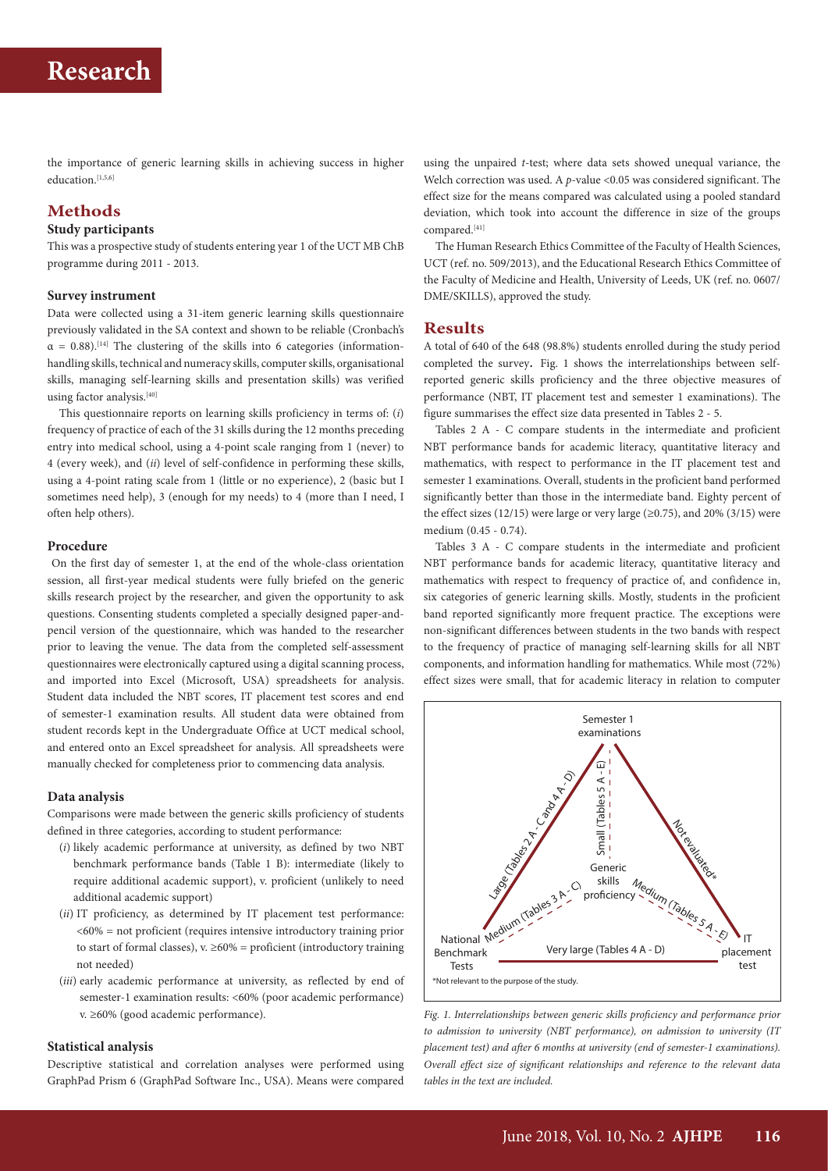the importance of generic learning skills in achieving success in higher education.<sup>[1,5,6]</sup>

# **Methods**

### **Study participants**

This was a prospective study of students entering year 1 of the UCT MB ChB programme during 2011 - 2013.

## **Survey instrument**

Data were collected using a 31-item generic learning skills questionnaire previously validated in the SA context and shown to be reliable (Cronbach's  $\alpha = 0.88$ ).<sup>[14]</sup> The clustering of the skills into 6 categories (informationhandling skills, technical and numeracy skills, computer skills, organisational skills, managing self-learning skills and presentation skills) was verified using factor analysis.  $\real^{[40]}$ 

This questionnaire reports on learning skills proficiency in terms of: (*i*) frequency of practice of each of the 31 skills during the 12 months preceding entry into medical school, using a 4-point scale ranging from 1 (never) to 4 (every week), and (*ii*) level of self-confidence in performing these skills, using a 4-point rating scale from 1 (little or no experience), 2 (basic but I sometimes need help), 3 (enough for my needs) to 4 (more than I need, I often help others).

### **Procedure**

 On the first day of semester 1, at the end of the whole-class orientation session, all first-year medical students were fully briefed on the generic skills research project by the researcher, and given the opportunity to ask questions. Consenting students completed a specially designed paper-andpencil version of the questionnaire, which was handed to the researcher prior to leaving the venue. The data from the completed self-assessment questionnaires were electronically captured using a digital scanning process, and imported into Excel (Microsoft, USA) spreadsheets for analysis. Student data included the NBT scores, IT placement test scores and end of semester-1 examination results. All student data were obtained from student records kept in the Undergraduate Office at UCT medical school, and entered onto an Excel spreadsheet for analysis. All spreadsheets were manually checked for completeness prior to commencing data analysis.

## **Data analysis**

Comparisons were made between the generic skills proficiency of students defined in three categories, according to student performance:

- (*i*) likely academic performance at university, as defined by two NBT benchmark performance bands (Table 1 B): intermediate (likely to require additional academic support), v. proficient (unlikely to need additional academic support)
- (*ii*) IT proficiency, as determined by IT placement test performance: <60% = not proficient (requires intensive introductory training prior to start of formal classes), v.  $\geq 60\%$  = proficient (introductory training not needed)
- (*iii*) early academic performance at university, as reflected by end of semester-1 examination results: <60% (poor academic performance) v. ≥60% (good academic performance).

# **Statistical analysis**

Descriptive statistical and correlation analyses were performed using GraphPad Prism 6 (GraphPad Software Inc., USA). Means were compared

using the unpaired *t*-test; where data sets showed unequal variance, the Welch correction was used. A *p*-value <0.05 was considered significant. The effect size for the means compared was calculated using a pooled standard deviation, which took into account the difference in size of the groups compared.[41]

The Human Research Ethics Committee of the Faculty of Health Sciences, UCT (ref. no. 509/2013), and the Educational Research Ethics Committee of the Faculty of Medicine and Health, University of Leeds, UK (ref. no. 0607/ DME/SKILLS), approved the study.

# **Results**

A total of 640 of the 648 (98.8%) students enrolled during the study period completed the survey. Fig. 1 shows the interrelationships between selfreported generic skills proficiency and the three objective measures of performance (NBT, IT placement test and semester 1 examinations). The figure summarises the effect size data presented in Tables 2 - 5.

Tables 2 A - C compare students in the intermediate and proficient NBT performance bands for academic literacy, quantitative literacy and mathematics, with respect to performance in the IT placement test and semester 1 examinations. Overall, students in the proficient band performed significantly better than those in the intermediate band. Eighty percent of the effect sizes (12/15) were large or very large ( $\geq$ 0.75), and 20% (3/15) were medium (0.45 - 0.74).

Tables 3 A - C compare students in the intermediate and proficient NBT performance bands for academic literacy, quantitative literacy and mathematics with respect to frequency of practice of, and confidence in, six categories of generic learning skills. Mostly, students in the proficient band reported significantly more frequent practice. The exceptions were non-significant differences between students in the two bands with respect to the frequency of practice of managing self-learning skills for all NBT components, and information handling for mathematics. While most (72%) effect sizes were small, that for academic literacy in relation to computer



*Fig. 1. Interrelationships between generic skills proficiency and performance prior to admission to university (NBT performance), on admission to university (IT placement test) and after 6 months at university (end of semester-1 examinations). Overall effect size of significant relationships and reference to the relevant data tables in the text are included.*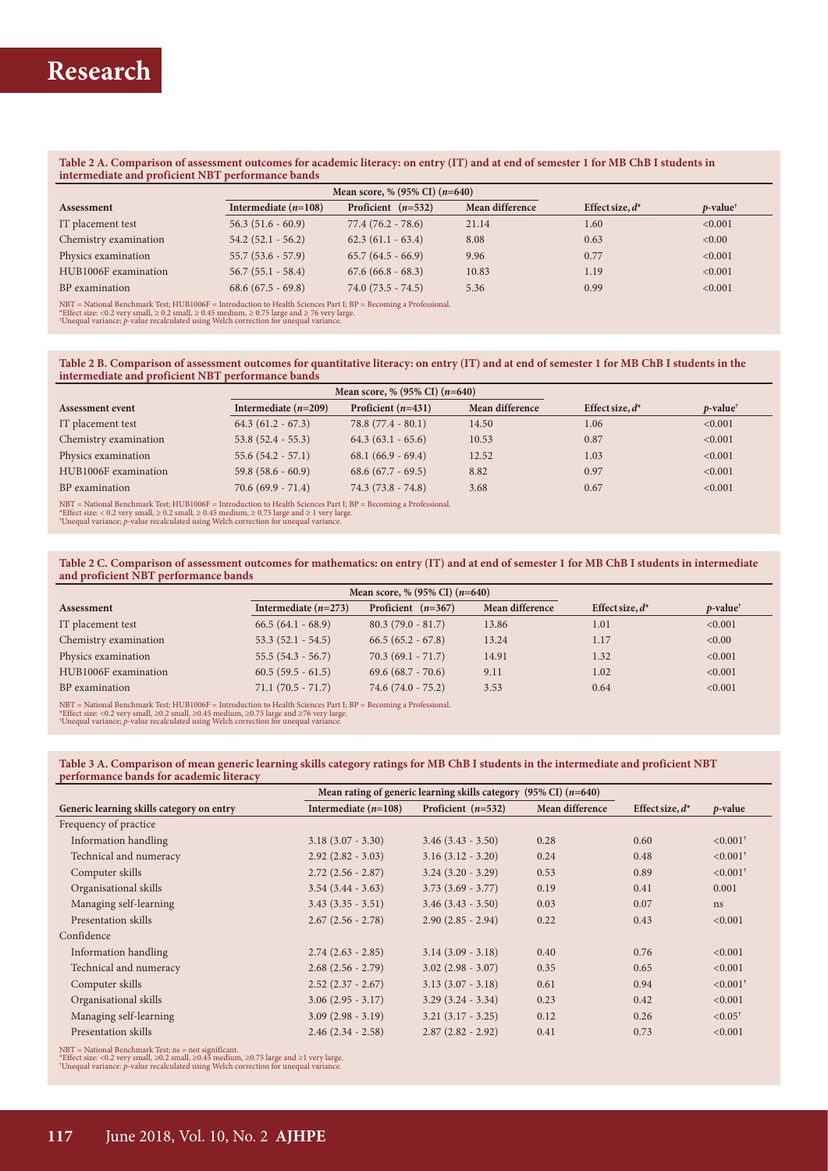#### **Table 2 A. Comparison of assessment outcomes for academic literacy: on entry (IT) and at end of semester 1 for MB ChB I students in intermediate and proficient NBT performance bands**

| Mean score, % $(95\% \text{ CI})$ $(n=640)$                                                                          |                        |                      |                 |                    |                         |  |  |
|----------------------------------------------------------------------------------------------------------------------|------------------------|----------------------|-----------------|--------------------|-------------------------|--|--|
| Assessment                                                                                                           | Intermediate $(n=108)$ | Proficient $(n=532)$ | Mean difference | Effect size, $d^*$ | $p$ -value <sup>†</sup> |  |  |
| IT placement test                                                                                                    | $56.3(51.6 - 60.9)$    | $77.4(76.2 - 78.6)$  | 21.14           | 1.60               | < 0.001                 |  |  |
| Chemistry examination                                                                                                | $54.2(52.1 - 56.2)$    | $62.3(61.1 - 63.4)$  | 8.08            | 0.63               | < 0.00                  |  |  |
| Physics examination                                                                                                  | $55.7(53.6 - 57.9)$    | $65.7(64.5 - 66.9)$  | 9.96            | 0.77               | < 0.001                 |  |  |
| HUB1006F examination                                                                                                 | $56.7(55.1 - 58.4)$    | $67.6(66.8 - 68.3)$  | 10.83           | 1.19               | < 0.001                 |  |  |
| BP examination                                                                                                       | $68.6(67.5 - 69.8)$    | $74.0(73.5 - 74.5)$  | 5.36            | 0.99               | < 0.001                 |  |  |
| $NBT = National \text{Bench}$ Test; HUB1006F = Introduction to Health Sciences Part I; BP = Becoming a Professional. |                        |                      |                 |                    |                         |  |  |

NBT = National Benchmark Test; HUB1006F = Introduction to Health Sciences Part I; BP = Becoming a Professional.<br>\*Effect size: <0.2 very small, ≥ 0.2 small, ≥ 0.45 medium, ≥ 0.75 large and ≥ 76 very large.<br>\*Unequal varianc

#### Table 2 B. Comparison of assessment outcomes for quantitative literacy: on entry (IT) and at end of semester 1 for MB ChB I students in the **intermediate and proficient NBT performance bands**

|                         |                                                                                                                | Mean score, % $(95\% \text{ CI})$ $(n=640)$ |                 |                    |                         |  |  |  |
|-------------------------|----------------------------------------------------------------------------------------------------------------|---------------------------------------------|-----------------|--------------------|-------------------------|--|--|--|
| <b>Assessment event</b> | Intermediate $(n=209)$                                                                                         | Proficient $(n=431)$                        | Mean difference | Effect size, $d^*$ | $p$ -value <sup>†</sup> |  |  |  |
| IT placement test       | $64.3(61.2 - 67.3)$                                                                                            | $78.8(77.4 - 80.1)$                         | 14.50           | 1.06               | < 0.001                 |  |  |  |
| Chemistry examination   | $53.8(52.4 - 55.3)$                                                                                            | $64.3(63.1 - 65.6)$                         | 10.53           | 0.87               | < 0.001                 |  |  |  |
| Physics examination     | $55.6(54.2 - 57.1)$                                                                                            | $68.1(66.9-69.4)$                           | 12.52           | 1.03               | < 0.001                 |  |  |  |
| HUB1006F examination    | $59.8(58.6 - 60.9)$                                                                                            | $68.6(67.7 - 69.5)$                         | 8.82            | 0.97               | < 0.001                 |  |  |  |
| BP examination          | $70.6(69.9 - 71.4)$                                                                                            | $74.3(73.8 - 74.8)$                         | 3.68            | 0.67               | < 0.001                 |  |  |  |
|                         | NRT – National Benchmark Tect: HUR1006E – Introduction to Health Sciences Part J. RD – Recoming a Professional |                                             |                 |                    |                         |  |  |  |

NBT = National Benchmark Test; HUB1006F = Introduction to Health Sciences Part I; BP = Becoming a Professional.<br>\*Effect size: < 0.2 very small, ≥ 0.2 small, ≥ 0.45 medium, ≥ 0.75 large and ≥ 1 very large.<br>\*Unequal varianc

**Table 2 C. Comparison of assessment outcomes for mathematics: on entry (IT) and at end of semester 1 for MB ChB I students in intermediate and proficient NBT performance bands**

| <b>Assessment</b>     | Intermediate $(n=273)$                                                                                            | Proficient $(n=367)$ | Mean difference | Effect size, $d^*$ | $p$ -value <sup>†</sup> |  |  |  |
|-----------------------|-------------------------------------------------------------------------------------------------------------------|----------------------|-----------------|--------------------|-------------------------|--|--|--|
| IT placement test     | $66.5(64.1 - 68.9)$                                                                                               | $80.3(79.0 - 81.7)$  | 13.86           | 1.01               | < 0.001                 |  |  |  |
| Chemistry examination | $53.3(52.1 - 54.5)$                                                                                               | $66.5(65.2 - 67.8)$  | 13.24           | 1.17               | < 0.00                  |  |  |  |
| Physics examination   | $55.5(54.3 - 56.7)$                                                                                               | $70.3(69.1 - 71.7)$  | 14.91           | 1.32               | < 0.001                 |  |  |  |
| HUB1006F examination  | $60.5(59.5 - 61.5)$                                                                                               | $69.6(68.7 - 70.6)$  | 9.11            | 1.02               | < 0.001                 |  |  |  |
| BP examination        | $71.1(70.5 - 71.7)$                                                                                               | $74.6(74.0 - 75.2)$  | 3.53            | 0.64               | < 0.001                 |  |  |  |
|                       | $NBT = National Bernchark Test: HUB1006F = Introduction to Health Sciences Part I: BP = Becoming a Professional.$ |                      |                 |                    |                         |  |  |  |

NBT = National Benchmark Test; HUB1006F = Introduction to Health Sciences Part I; BP = Becoming a Professional.<br>\*Effect size: <0.2 very small, ≥0.2 small, ≥0.45 medium, ≥0.75 large and ≥76 very large.<br>\*Unequal variance; ρ

**Table 3 A. Comparison of mean generic learning skills category ratings for MB ChB I students in the intermediate and proficient NBT performance bands for academic literacy**

|                                           | Mean rating of generic learning skills category $(95\% \text{ CI})$ (n=640) |                        |                 |                    |                        |
|-------------------------------------------|-----------------------------------------------------------------------------|------------------------|-----------------|--------------------|------------------------|
| Generic learning skills category on entry | Intermediate $(n=108)$                                                      | Proficient $(n=532)$   | Mean difference | Effect size, $d^*$ | <i>p</i> -value        |
| Frequency of practice                     |                                                                             |                        |                 |                    |                        |
| Information handling                      | $3.18(3.07 - 3.30)$                                                         | $3.46(3.43 - 3.50)$    | 0.28            | 0.60               | $< 0.001$ <sup>†</sup> |
| Technical and numeracy                    | $2.92(2.82 - 3.03)$                                                         | $3.16(3.12 - 3.20)$    | 0.24            | 0.48               | $< 0.001$ <sup>†</sup> |
| Computer skills                           | $2.72(2.56 - 2.87)$                                                         | $3.24$ $(3.20 - 3.29)$ | 0.53            | 0.89               | $< 0.001$ <sup>†</sup> |
| Organisational skills                     | $3.54(3.44 - 3.63)$                                                         | $3.73(3.69 - 3.77)$    | 0.19            | 0.41               | 0.001                  |
| Managing self-learning                    | $3.43(3.35 - 3.51)$                                                         | $3.46(3.43 - 3.50)$    | 0.03            | 0.07               | ns                     |
| Presentation skills                       | $2.67(2.56 - 2.78)$                                                         | $2.90(2.85 - 2.94)$    | 0.22            | 0.43               | < 0.001                |
| Confidence                                |                                                                             |                        |                 |                    |                        |
| Information handling                      | $2.74(2.63 - 2.85)$                                                         | $3.14$ $(3.09 - 3.18)$ | 0.40            | 0.76               | < 0.001                |
| Technical and numeracy                    | $2.68(2.56 - 2.79)$                                                         | $3.02(2.98 - 3.07)$    | 0.35            | 0.65               | < 0.001                |
| Computer skills                           | $2.52(2.37 - 2.67)$                                                         | $3.13(3.07 - 3.18)$    | 0.61            | 0.94               | $< 0.001^{\dagger}$    |
| Organisational skills                     | $3.06(2.95 - 3.17)$                                                         | $3.29(3.24 - 3.34)$    | 0.23            | 0.42               | < 0.001                |
| Managing self-learning                    | $3.09(2.98 - 3.19)$                                                         | $3.21(3.17 - 3.25)$    | 0.12            | 0.26               | $< 0.05^{\dagger}$     |
| Presentation skills                       | $2.46(2.34 - 2.58)$                                                         | $2.87(2.82 - 2.92)$    | 0.41            | 0.73               | < 0.001                |
|                                           |                                                                             |                        |                 |                    |                        |

NBT = National Benchmark Test; ns = not significant.<br>\*Effect size: <0.2 very small, ≥0.2 small, ≥0.45 medium, ≥0.75 large and ≥1 very large.<br>"Unequal variance: p-value recalculated using Welch correction for unequal varia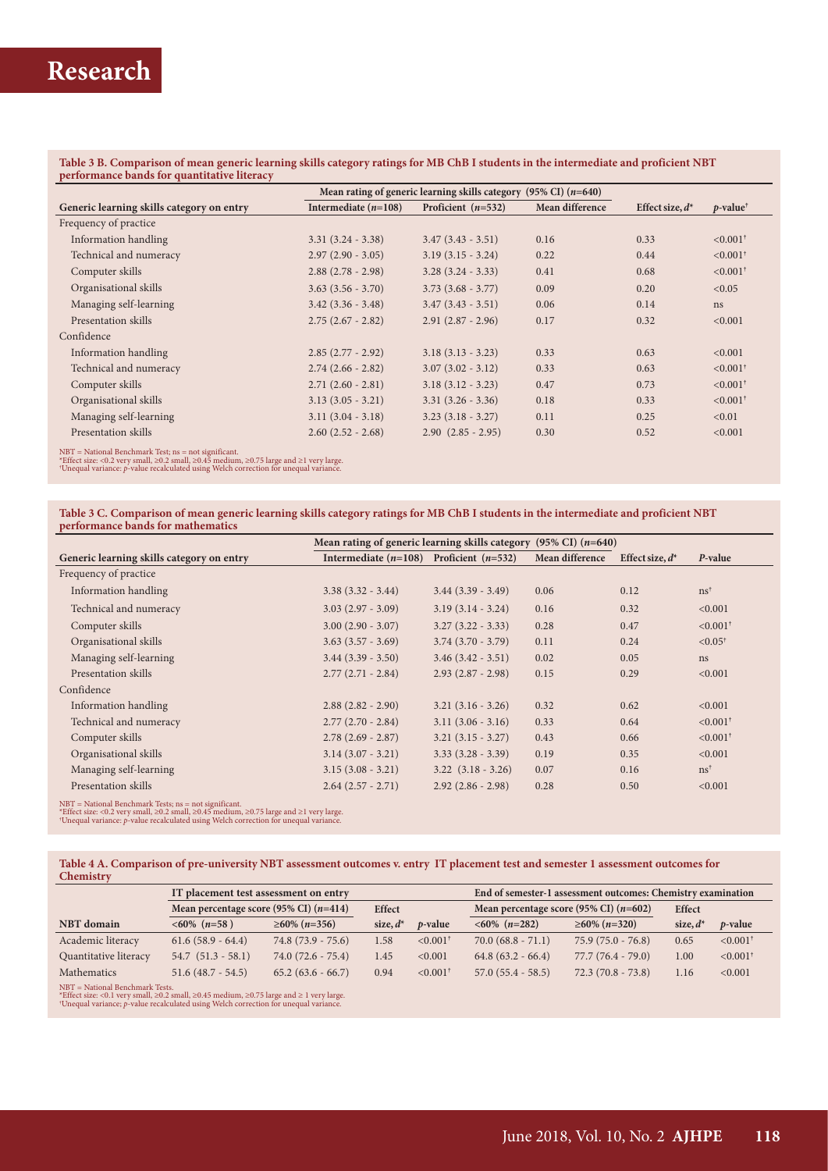### **Table 3 B. Comparison of mean generic learning skills category ratings for MB ChB I students in the intermediate and proficient NBT performance bands for quantitative literacy**

|                                                                                                                                                                                         | Mean rating of generic learning skills category (95% CI) $(n=640)$ |                        |                 |                    |                         |
|-----------------------------------------------------------------------------------------------------------------------------------------------------------------------------------------|--------------------------------------------------------------------|------------------------|-----------------|--------------------|-------------------------|
| Generic learning skills category on entry                                                                                                                                               | Intermediate $(n=108)$                                             | Proficient $(n=532)$   | Mean difference | Effect size, $d^*$ | $p$ -value <sup>†</sup> |
| Frequency of practice                                                                                                                                                                   |                                                                    |                        |                 |                    |                         |
| Information handling                                                                                                                                                                    | $3.31(3.24 - 3.38)$                                                | $3.47(3.43 - 3.51)$    | 0.16            | 0.33               | $< 0.001$ <sup>†</sup>  |
| Technical and numeracy                                                                                                                                                                  | $2.97(2.90 - 3.05)$                                                | $3.19(3.15 - 3.24)$    | 0.22            | 0.44               | $< 0.001$ <sup>†</sup>  |
| Computer skills                                                                                                                                                                         | $2.88(2.78 - 2.98)$                                                | $3.28(3.24 - 3.33)$    | 0.41            | 0.68               | $\leq 0.001^{\dagger}$  |
| Organisational skills                                                                                                                                                                   | $3.63(3.56 - 3.70)$                                                | $3.73(3.68 - 3.77)$    | 0.09            | 0.20               | < 0.05                  |
| Managing self-learning                                                                                                                                                                  | $3.42$ $(3.36 - 3.48)$                                             | $3.47(3.43 - 3.51)$    | 0.06            | 0.14               | ns                      |
| Presentation skills                                                                                                                                                                     | $2.75(2.67 - 2.82)$                                                | $2.91(2.87 - 2.96)$    | 0.17            | 0.32               | < 0.001                 |
| Confidence                                                                                                                                                                              |                                                                    |                        |                 |                    |                         |
| Information handling                                                                                                                                                                    | $2.85(2.77 - 2.92)$                                                | $3.18(3.13 - 3.23)$    | 0.33            | 0.63               | < 0.001                 |
| Technical and numeracy                                                                                                                                                                  | $2.74(2.66 - 2.82)$                                                | $3.07(3.02 - 3.12)$    | 0.33            | 0.63               | $< 0.001$ <sup>†</sup>  |
| Computer skills                                                                                                                                                                         | $2.71(2.60 - 2.81)$                                                | $3.18(3.12 - 3.23)$    | 0.47            | 0.73               | $\leq 0.001^{\dagger}$  |
| Organisational skills                                                                                                                                                                   | $3.13(3.05 - 3.21)$                                                | $3.31(3.26 - 3.36)$    | 0.18            | 0.33               | $< 0.001$ <sup>†</sup>  |
| Managing self-learning                                                                                                                                                                  | $3.11(3.04 - 3.18)$                                                | $3.23(3.18 - 3.27)$    | 0.11            | 0.25               | < 0.01                  |
| Presentation skills                                                                                                                                                                     | $2.60(2.52 - 2.68)$                                                | $2.90$ $(2.85 - 2.95)$ | 0.30            | 0.52               | < 0.001                 |
| $NBT = National \text{Benchmark Test};$ $ns = not significant.$<br>*Effect given $(0.2 \text{ mm})$ and $(0.2 \text{ mm})$ $\geq 0.45$ modium $\geq 0.75$ large and $\geq 1$ user large |                                                                    |                        |                 |                    |                         |

\*Effect size: <0.2 very small, ≥0.2 small, ≥0.45 medium, ≥0.75 large and ≥1 very large. † Unequal variance: *p*-value recalculated using Welch correction for unequal variance.

**Table 3 C. Comparison of mean generic learning skills category ratings for MB ChB I students in the intermediate and proficient NBT performance bands for mathematics**

|                                           |                                             | Mean rating of generic learning skills category $(95\% \text{ CI})$ ( <i>n</i> =640) |                 |                    |                        |  |
|-------------------------------------------|---------------------------------------------|--------------------------------------------------------------------------------------|-----------------|--------------------|------------------------|--|
| Generic learning skills category on entry | Intermediate $(n=108)$ Proficient $(n=532)$ |                                                                                      | Mean difference | Effect size, $d^*$ | P-value                |  |
| Frequency of practice                     |                                             |                                                                                      |                 |                    |                        |  |
| Information handling                      | $3.38(3.32 - 3.44)$                         | $3.44$ $(3.39 - 3.49)$                                                               | 0.06            | 0.12               | $ns^{\dagger}$         |  |
| Technical and numeracy                    | $3.03(2.97 - 3.09)$                         | $3.19(3.14 - 3.24)$                                                                  | 0.16            | 0.32               | < 0.001                |  |
| Computer skills                           | $3.00(2.90 - 3.07)$                         | $3.27(3.22 - 3.33)$                                                                  | 0.28            | 0.47               | $\leq 0.001^+$         |  |
| Organisational skills                     | $3.63$ $(3.57 - 3.69)$                      | $3.74$ $(3.70 - 3.79)$                                                               | 0.11            | 0.24               | $< 0.05^{\dagger}$     |  |
| Managing self-learning                    | $3.44$ $(3.39 - 3.50)$                      | $3.46(3.42 - 3.51)$                                                                  | 0.02            | 0.05               | ns                     |  |
| Presentation skills                       | $2.77(2.71 - 2.84)$                         | $2.93(2.87 - 2.98)$                                                                  | 0.15            | 0.29               | < 0.001                |  |
| Confidence                                |                                             |                                                                                      |                 |                    |                        |  |
| Information handling                      | $2.88(2.82 - 2.90)$                         | $3.21(3.16 - 3.26)$                                                                  | 0.32            | 0.62               | < 0.001                |  |
| Technical and numeracy                    | $2.77(2.70 - 2.84)$                         | $3.11(3.06 - 3.16)$                                                                  | 0.33            | 0.64               | $< 0.001$ <sup>†</sup> |  |
| Computer skills                           | $2.78(2.69 - 2.87)$                         | $3.21(3.15 - 3.27)$                                                                  | 0.43            | 0.66               | $< 0.001$ <sup>†</sup> |  |
| Organisational skills                     | $3.14$ $(3.07 - 3.21)$                      | $3.33(3.28 - 3.39)$                                                                  | 0.19            | 0.35               | < 0.001                |  |
| Managing self-learning                    | $3.15(3.08 - 3.21)$                         | $3.22$ $(3.18 - 3.26)$                                                               | 0.07            | 0.16               | $\text{ns}^{\dagger}$  |  |
| Presentation skills                       | $2.64(2.57 - 2.71)$                         | $2.92(2.86 - 2.98)$                                                                  | 0.28            | 0.50               | < 0.001                |  |
|                                           |                                             |                                                                                      |                 |                    |                        |  |

NBT = National Benchmark Tests; ns = not significant.<br>\*Effect size: <0.2 very small, ≥0.2 small, ≥0.45 medium, ≥0.75 large and ≥1 very large<br>\*Unequal variance: p-value recalculated using Welch correction for unequal varia

| Table 4 A. Comparison of pre-university NBT assessment outcomes v. entry IT placement test and semester 1 assessment outcomes for |  |  |
|-----------------------------------------------------------------------------------------------------------------------------------|--|--|
| Chemistry                                                                                                                         |  |  |

|                       |                                          | IT placement test assessment on entry |               |                        |                                          | End of semester-1 assessment outcomes: Chemistry examination |               |                        |  |
|-----------------------|------------------------------------------|---------------------------------------|---------------|------------------------|------------------------------------------|--------------------------------------------------------------|---------------|------------------------|--|
|                       | Mean percentage score (95% CI) $(n=414)$ |                                       | <b>Effect</b> |                        | Mean percentage score (95% CI) $(n=602)$ |                                                              | <b>Effect</b> |                        |  |
| <b>NBT</b> domain     | $<60\%$ (n=58)                           | $\geq 60\%$ (n=356)                   | size, $d^*$   | $p$ -value             | $<60\%$ (n=282)                          | $\geq 60\%$ (n=320)                                          | size, $d^*$   | $p$ -value             |  |
| Academic literacy     | $61.6(58.9 - 64.4)$                      | $74.8(73.9 - 75.6)$                   | 1.58          | $< 0.001$ <sup>†</sup> | $70.0 (68.8 - 71.1)$                     | $75.9(75.0 - 76.8)$                                          | 0.65          | $< 0.001$ <sup>†</sup> |  |
| Quantitative literacy | $54.7$ $(51.3 - 58.1)$                   | $74.0(72.6 - 75.4)$                   | 1.45          | < 0.001                | $64.8(63.2 - 66.4)$                      | $77.7(76.4 - 79.0)$                                          | 00.1          | $\leq 0.001^{\dagger}$ |  |
| Mathematics           | $51.6(48.7 - 54.5)$                      | $65.2(63.6 - 66.7)$                   | 0.94          | $< 0.001$ <sup>†</sup> | $57.0(55.4 - 58.5)$                      | $72.3(70.8 - 73.8)$                                          | 1.16          | < 0.001                |  |
|                       | $NBT = National \text{Benchmark Tests}.$ |                                       |               |                        |                                          |                                                              |               |                        |  |

\*Effect size: <0.1 very small, ≥0.2 small, ≥0.45 medium, ≥0.75 large and ≥ 1 very large. † Unequal variance; *p*-value recalculated using Welch correction for unequal variance.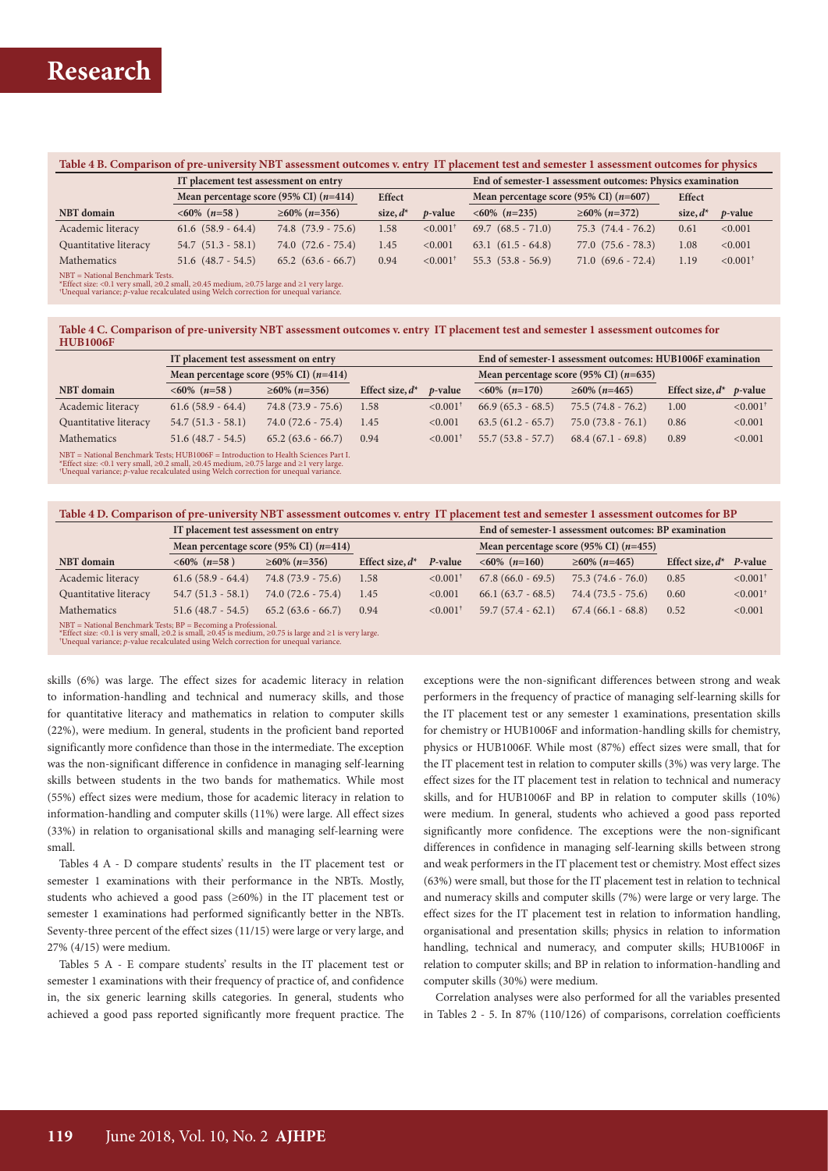#### **Table 4 B. Comparison of pre-university NBT assessment outcomes v. entry IT placement test and semester 1 assessment outcomes for physics**

|                                                                                                                                                                                                                                               | IT placement test assessment on entry    |                        |               | End of semester-1 assessment outcomes: Physics examination |                                          |                        |               |                        |
|-----------------------------------------------------------------------------------------------------------------------------------------------------------------------------------------------------------------------------------------------|------------------------------------------|------------------------|---------------|------------------------------------------------------------|------------------------------------------|------------------------|---------------|------------------------|
|                                                                                                                                                                                                                                               | Mean percentage score (95% CI) $(n=414)$ |                        | <b>Effect</b> |                                                            | Mean percentage score (95% CI) $(n=607)$ |                        | <b>Effect</b> |                        |
| <b>NBT</b> domain                                                                                                                                                                                                                             | $<60\%$ (n=58)                           | $\geq 60\%$ (n=356)    | size, $d^*$   | <i>p</i> -value                                            | $<60\%$ (n=235)                          | $\geq 60\%$ (n=372)    | size, $d^s$   | <i>p</i> -value        |
| Academic literacy                                                                                                                                                                                                                             | $61.6$ $(58.9 - 64.4)$                   | $74.8$ $(73.9 - 75.6)$ | 1.58          | $\leq 0.001^+$                                             | $69.7$ $(68.5 - 71.0)$                   | $75.3$ $(74.4 - 76.2)$ | 0.61          | < 0.001                |
| Quantitative literacy                                                                                                                                                                                                                         | $54.7$ $(51.3 - 58.1)$                   | $74.0(72.6 - 75.4)$    | 1.45          | < 0.001                                                    | $63.1 (61.5 - 64.8)$                     | $77.0$ $(75.6 - 78.3)$ | 1.08          | < 0.001                |
| Mathematics<br>compared the state of the state of the state of the state of the state of the state of the state of the state of the state of the state of the state of the state of the state of the state of the state of the state of the s | $51.6$ $(48.7 - 54.5)$                   | $65.2$ $(63.6 - 66.7)$ | 0.94          | $< 0.001$ <sup>+</sup>                                     | $55.3$ $(53.8 - 56.9)$                   | $71.0(69.6 - 72.4)$    | 1.19          | $< 0.001$ <sup>†</sup> |

NBT = National Benchmark Tests.<br>\*Effect size: <0.1 very small, ≥0.2 small, ≥0.45 medium, ≥0.75 large and ≥1 very large<br>"Unequal variance; *p*-value recalculated using Welch correction for unequal variance.

#### **Table 4 C. Comparison of pre-university NBT assessment outcomes v. entry IT placement test and semester 1 assessment outcomes for HUB1006F**

|                                                                                  | IT placement test assessment on entry    |                     |                    | End of semester-1 assessment outcomes: HUB1006F examination |                                          |                     |                    |                        |
|----------------------------------------------------------------------------------|------------------------------------------|---------------------|--------------------|-------------------------------------------------------------|------------------------------------------|---------------------|--------------------|------------------------|
|                                                                                  | Mean percentage score (95% CI) $(n=414)$ |                     |                    |                                                             | Mean percentage score (95% CI) $(n=635)$ |                     |                    |                        |
| <b>NBT</b> domain                                                                | $<60\%$ (n=58)                           | $\geq 60\%$ (n=356) | Effect size, $d^*$ | <i>p</i> -value                                             | $<60\%$ (n=170)                          | $\geq 60\%$ (n=465) | Effect size, $d^*$ | <i>p</i> -value        |
| Academic literacy                                                                | $61.6(58.9 - 64.4)$                      | $74.8(73.9 - 75.6)$ | 1.58               | $\leq 0.001^+$                                              | $66.9(65.3 - 68.5)$                      | $75.5(74.8 - 76.2)$ | 1.00               | $< 0.001$ <sup>+</sup> |
| Quantitative literacy                                                            | $54.7(51.3 - 58.1)$                      | $74.0(72.6 - 75.4)$ | 1.45               | < 0.001                                                     | $63.5(61.2 - 65.7)$                      | $75.0(73.8 - 76.1)$ | 0.86               | < 0.001                |
| <b>Mathematics</b>                                                               | $51.6(48.7 - 54.5)$                      | $65.2(63.6 - 66.7)$ | 0.94               | $\leq 0.001^+$                                              | $55.7(53.8 - 57.7)$                      | $68.4(67.1 - 69.8)$ | 0.89               | < 0.001                |
| NDT - National Ranchmark Toota HUD10045 - Introduction to Hoalth Sciences Revt I |                                          |                     |                    |                                                             |                                          |                     |                    |                        |

NBT = National Benchmark Tests; HUB1006F = Introduction to Health Sciences Part I.<br>\*Effect size: <0.1 very small, ≥0.2 small, ≥0.45 medium, ≥0.75 large and ≥1 very large.<br>\*Unequal variance; ρ-value recalculated using Welc

| Table 4 D. Comparison of pre-university NBT assessment outcomes v. entry IT placement test and semester 1 assessment outcomes for BP                                                               |                                          |                     |                    |                                                       |                     |                     |                    |                        |
|----------------------------------------------------------------------------------------------------------------------------------------------------------------------------------------------------|------------------------------------------|---------------------|--------------------|-------------------------------------------------------|---------------------|---------------------|--------------------|------------------------|
| IT placement test assessment on entry                                                                                                                                                              |                                          |                     |                    | End of semester-1 assessment outcomes: BP examination |                     |                     |                    |                        |
|                                                                                                                                                                                                    | Mean percentage score (95% CI) $(n=414)$ |                     |                    | Mean percentage score (95% CI) $(n=455)$              |                     |                     |                    |                        |
| <b>NBT</b> domain                                                                                                                                                                                  | $<60\%$ (n=58)                           | $\geq 60\%$ (n=356) | Effect size, $d^*$ | P-value                                               | $<60\%$ (n=160)     | $\geq 60\%$ (n=465) | Effect size, $d^*$ | P-value                |
| Academic literacy                                                                                                                                                                                  | $61.6(58.9 - 64.4)$                      | $74.8(73.9 - 75.6)$ | 1.58               | $\leq 0.001^+$                                        | $67.8(66.0 - 69.5)$ | $75.3(74.6 - 76.0)$ | 0.85               | $< 0.001$ <sup>+</sup> |
| Quantitative literacy                                                                                                                                                                              | $54.7(51.3 - 58.1)$                      | $74.0(72.6 - 75.4)$ | 1.45               | < 0.001                                               | $66.1(63.7 - 68.5)$ | $74.4(73.5 - 75.6)$ | 0.60               | $< 0.001$ <sup>†</sup> |
| Mathematics                                                                                                                                                                                        | $51.6(48.7 - 54.5)$                      | $65.2(63.6 - 66.7)$ | 0.94               | $\leq 0.001^+$                                        | $59.7(57.4 - 62.1)$ | $67.4(66.1 - 68.8)$ | 0.52               | < 0.001                |
| $NBT = National \text{Bench}$ Tests; $BP = \text{Becoming}$ a Professional.<br>* Effect size: $\angle 0$ 1 is very small $>0$ 2 is small $>0$ 45 is medium $>0.75$ is large and $>1$ is very large |                                          |                     |                    |                                                       |                     |                     |                    |                        |

\*Effect size: <0.1 is very small, ≥0.2 is small, ≥0.45 is medium, ≥0.75 is large and ≥1 is very large. † Unequal variance; *p*-value recalculated using Welch correction for unequal variance.

skills (6%) was large. The effect sizes for academic literacy in relation to information-handling and technical and numeracy skills, and those for quantitative literacy and mathematics in relation to computer skills (22%), were medium. In general, students in the proficient band reported significantly more confidence than those in the intermediate. The exception was the non-significant difference in confidence in managing self-learning skills between students in the two bands for mathematics. While most (55%) effect sizes were medium, those for academic literacy in relation to information-handling and computer skills (11%) were large. All effect sizes (33%) in relation to organisational skills and managing self-learning were small.

Tables 4 A - D compare students' results in the IT placement test or semester 1 examinations with their performance in the NBTs. Mostly, students who achieved a good pass (≥60%) in the IT placement test or semester 1 examinations had performed significantly better in the NBTs. Seventy-three percent of the effect sizes (11/15) were large or very large, and 27% (4/15) were medium.

Tables 5 A - E compare students' results in the IT placement test or semester 1 examinations with their frequency of practice of, and confidence in, the six generic learning skills categories. In general, students who achieved a good pass reported significantly more frequent practice. The exceptions were the non-significant differences between strong and weak performers in the frequency of practice of managing self-learning skills for the IT placement test or any semester 1 examinations, presentation skills for chemistry or HUB1006F and information-handling skills for chemistry, physics or HUB1006F. While most (87%) effect sizes were small, that for the IT placement test in relation to computer skills (3%) was very large. The effect sizes for the IT placement test in relation to technical and numeracy skills, and for HUB1006F and BP in relation to computer skills (10%) were medium. In general, students who achieved a good pass reported significantly more confidence. The exceptions were the non-significant differences in confidence in managing self-learning skills between strong and weak performers in the IT placement test or chemistry. Most effect sizes (63%) were small, but those for the IT placement test in relation to technical and numeracy skills and computer skills (7%) were large or very large. The effect sizes for the IT placement test in relation to information handling, organisational and presentation skills; physics in relation to information handling, technical and numeracy, and computer skills; HUB1006F in relation to computer skills; and BP in relation to information-handling and computer skills (30%) were medium.

Correlation analyses were also performed for all the variables presented in Tables 2 - 5. In 87% (110/126) of comparisons, correlation coefficients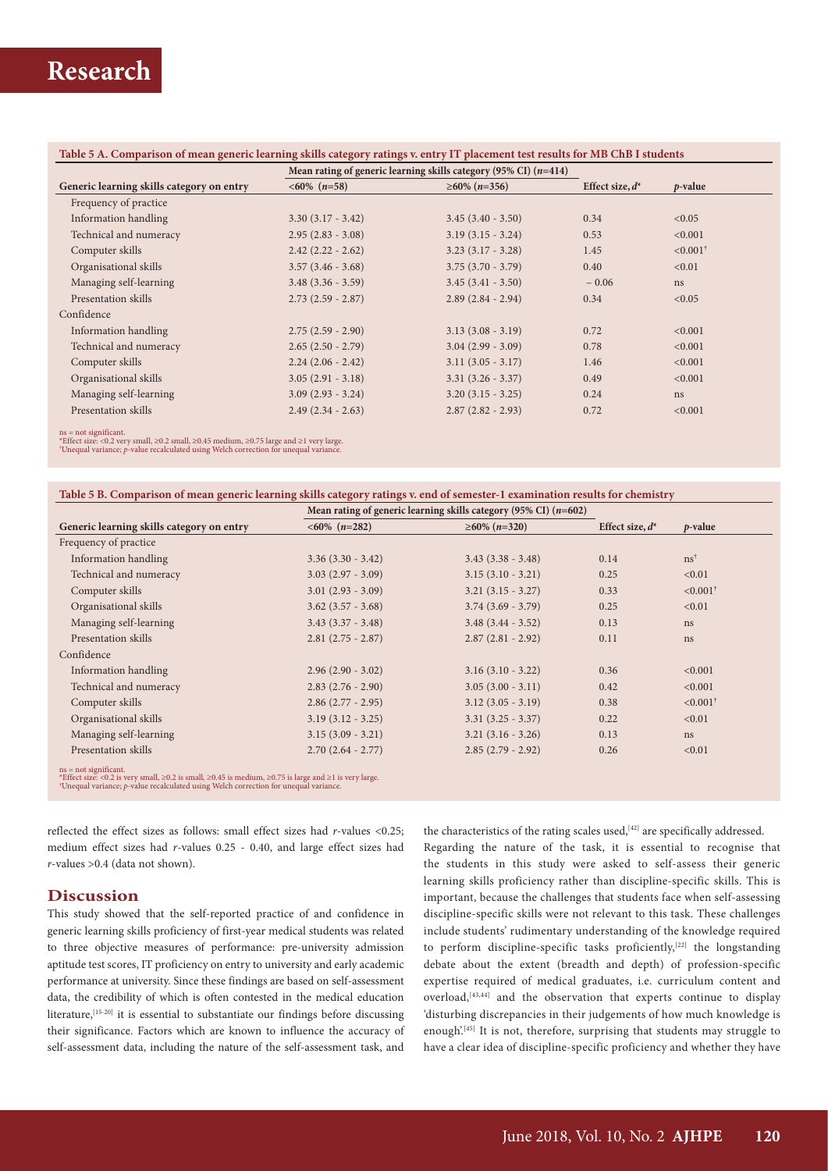|                                           | Mean rating of generic learning skills category (95% CI) $(n=414)$ |                     | $p$ -value |                        |
|-------------------------------------------|--------------------------------------------------------------------|---------------------|------------|------------------------|
| Generic learning skills category on entry | $<60\%$ (n=58)<br>$\geq 60\%$ (n=356)                              |                     |            | Effect size, $d^*$     |
| Frequency of practice                     |                                                                    |                     |            |                        |
| Information handling                      | $3.30(3.17 - 3.42)$                                                | $3.45(3.40 - 3.50)$ | 0.34       | < 0.05                 |
| Technical and numeracy                    | $2.95(2.83 - 3.08)$                                                | $3.19(3.15 - 3.24)$ | 0.53       | < 0.001                |
| Computer skills                           | $2.42(2.22 - 2.62)$                                                | $3.23(3.17 - 3.28)$ | 1.45       | $< 0.001$ <sup>†</sup> |
| Organisational skills                     | $3.57(3.46 - 3.68)$                                                | $3.75(3.70 - 3.79)$ | 0.40       | < 0.01                 |
| Managing self-learning                    | $3.48$ $(3.36 - 3.59)$                                             | $3.45(3.41 - 3.50)$ | $-0.06$    | ns                     |
| Presentation skills                       | $2.73(2.59 - 2.87)$                                                | $2.89(2.84 - 2.94)$ | 0.34       | < 0.05                 |
| Confidence                                |                                                                    |                     |            |                        |
| Information handling                      | $2.75(2.59 - 2.90)$                                                | $3.13(3.08 - 3.19)$ | 0.72       | < 0.001                |
| Technical and numeracy                    | $2.65(2.50 - 2.79)$                                                | $3.04(2.99 - 3.09)$ | 0.78       | < 0.001                |
| Computer skills                           | $2.24(2.06 - 2.42)$                                                | $3.11(3.05 - 3.17)$ | 1.46       | < 0.001                |
| Organisational skills                     | $3.05(2.91 - 3.18)$                                                | $3.31(3.26 - 3.37)$ | 0.49       | < 0.001                |
| Managing self-learning                    | $3.09(2.93 - 3.24)$                                                | $3.20(3.15 - 3.25)$ | 0.24       | ns                     |
| Presentation skills                       | $2.49(2.34 - 2.63)$                                                | $2.87(2.82 - 2.93)$ | 0.72       | < 0.001                |

ns = not significant.<br>\*Effect size: <0.2 very small, ≥0.2 small, ≥0.45 medium, ≥0.75 large and ≥1 very large.<br>\*Unequal variance; *p*-value recalculated using Welch correction for unequal variance.

| Table 5 B. Comparison of mean generic learning skills category ratings v. end of semester-1 examination results for chemistry |
|-------------------------------------------------------------------------------------------------------------------------------|
|-------------------------------------------------------------------------------------------------------------------------------|

|                                                                                                               | Mean rating of generic learning skills category (95% CI) $(n=602)$ |                        |                    |                        |
|---------------------------------------------------------------------------------------------------------------|--------------------------------------------------------------------|------------------------|--------------------|------------------------|
| Generic learning skills category on entry                                                                     | $<60\%$ (n=282)                                                    | $\geq 60\%$ (n=320)    | Effect size, $d^*$ | $p$ -value             |
| Frequency of practice                                                                                         |                                                                    |                        |                    |                        |
| Information handling                                                                                          | $3.36(3.30 - 3.42)$                                                | $3.43(3.38 - 3.48)$    | 0.14               | $ns^{\dagger}$         |
| Technical and numeracy                                                                                        | $3.03(2.97 - 3.09)$                                                | $3.15(3.10 - 3.21)$    | 0.25               | < 0.01                 |
| Computer skills                                                                                               | $3.01(2.93 - 3.09)$                                                | $3.21(3.15 - 3.27)$    | 0.33               | $< 0.001$ <sup>†</sup> |
| Organisational skills                                                                                         | $3.62$ $(3.57 - 3.68)$                                             | $3.74(3.69 - 3.79)$    | 0.25               | < 0.01                 |
| Managing self-learning                                                                                        | $3.43(3.37 - 3.48)$                                                | $3.48$ $(3.44 - 3.52)$ | 0.13               | ns                     |
| Presentation skills                                                                                           | $2.81(2.75 - 2.87)$                                                | $2.87(2.81 - 2.92)$    | 0.11               | ns                     |
| Confidence                                                                                                    |                                                                    |                        |                    |                        |
| Information handling                                                                                          | $2.96(2.90 - 3.02)$                                                | $3.16(3.10 - 3.22)$    | 0.36               | < 0.001                |
| Technical and numeracy                                                                                        | $2.83(2.76 - 2.90)$                                                | $3.05(3.00 - 3.11)$    | 0.42               | < 0.001                |
| Computer skills                                                                                               | $2.86(2.77 - 2.95)$                                                | $3.12$ $(3.05 - 3.19)$ | 0.38               | $< 0.001$ <sup>†</sup> |
| Organisational skills                                                                                         | $3.19(3.12 - 3.25)$                                                | $3.31(3.25 - 3.37)$    | 0.22               | < 0.01                 |
| Managing self-learning                                                                                        | $3.15(3.09 - 3.21)$                                                | $3.21(3.16 - 3.26)$    | 0.13               | ns                     |
| Presentation skills                                                                                           | $2.70(2.64 - 2.77)$                                                | $2.85(2.79 - 2.92)$    | 0.26               | < 0.01                 |
| and a search of the Common and the Common and the Common and the Common and the Common and the Common and the |                                                                    |                        |                    |                        |

ns = not significant.<br>\*Effect size: <0.2 is very small, ≥0.2 is small, ≥0.45 is medium, ≥0.75 is large and ≥1 is very large.<br>\*Effect size: <0.2 is very large.

reflected the effect sizes as follows: small effect sizes had *r*-values <0.25; medium effect sizes had *r*-values 0.25 - 0.40, and large effect sizes had *r*-values >0.4 (data not shown).

## **Discussion**

This study showed that the self-reported practice of and confidence in generic learning skills proficiency of first-year medical students was related to three objective measures of performance: pre-university admission aptitude test scores, IT proficiency on entry to university and early academic performance at university. Since these findings are based on self-assessment data, the credibility of which is often contested in the medical education literature,<sup>[15-20]</sup> it is essential to substantiate our findings before discussing their significance. Factors which are known to influence the accuracy of self-assessment data, including the nature of the self-assessment task, and

the characteristics of the rating scales used, $[42]$  are specifically addressed. Regarding the nature of the task, it is essential to recognise that the students in this study were asked to self-assess their generic learning skills proficiency rather than discipline-specific skills. This is important, because the challenges that students face when self-assessing discipline-specific skills were not relevant to this task. These challenges include students' rudimentary understanding of the knowledge required to perform discipline-specific tasks proficiently,<sup>[22]</sup> the longstanding debate about the extent (breadth and depth) of profession-specific expertise required of medical graduates, i.e. curriculum content and overload,<sup>[43,44]</sup> and the observation that experts continue to display 'disturbing discrepancies in their judgements of how much knowledge is enough<sup>'(45)</sup> It is not, therefore, surprising that students may struggle to have a clear idea of discipline-specific proficiency and whether they have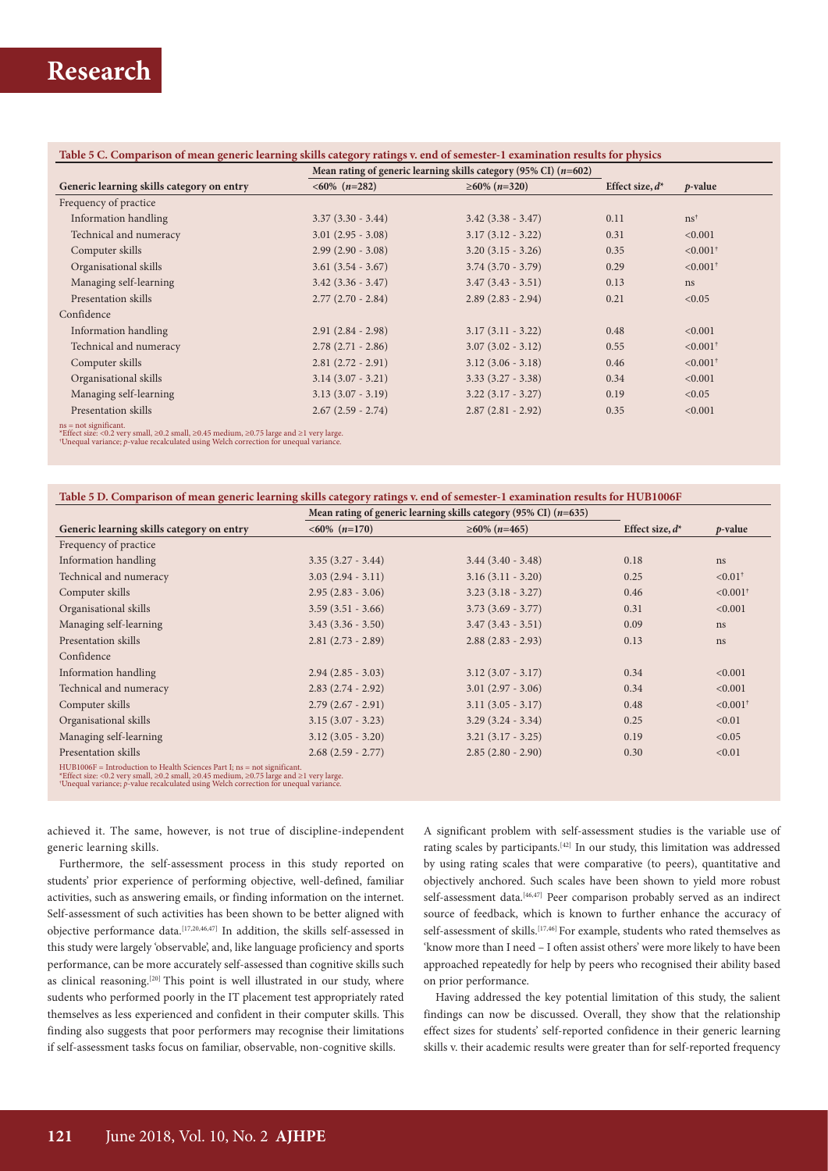### **Table 5 C. Comparison of mean generic learning skills category ratings v. end of semester-1 examination results for physics**

|                                                                                                                    | Mean rating of generic learning skills category (95% CI) $(n=602)$ |                        |                    |                        |
|--------------------------------------------------------------------------------------------------------------------|--------------------------------------------------------------------|------------------------|--------------------|------------------------|
| Generic learning skills category on entry                                                                          | $<60\%$ (n=282)                                                    | $\geq 60\%$ (n=320)    | Effect size, $d^*$ | $p$ -value             |
| Frequency of practice                                                                                              |                                                                    |                        |                    |                        |
| Information handling                                                                                               | $3.37(3.30 - 3.44)$                                                | $3.42$ $(3.38 - 3.47)$ | 0.11               | $\text{ns}^{\dagger}$  |
| Technical and numeracy                                                                                             | $3.01(2.95 - 3.08)$                                                | $3.17(3.12 - 3.22)$    | 0.31               | < 0.001                |
| Computer skills                                                                                                    | $2.99(2.90 - 3.08)$                                                | $3.20(3.15 - 3.26)$    | 0.35               | $< 0.001$ <sup>†</sup> |
| Organisational skills                                                                                              | $3.61(3.54 - 3.67)$                                                | $3.74$ $(3.70 - 3.79)$ | 0.29               | $< 0.001$ <sup>†</sup> |
| Managing self-learning                                                                                             | $3.42$ $(3.36 - 3.47)$                                             | $3.47(3.43 - 3.51)$    | 0.13               | ns                     |
| Presentation skills                                                                                                | $2.77(2.70 - 2.84)$                                                | $2.89(2.83 - 2.94)$    | 0.21               | < 0.05                 |
| Confidence                                                                                                         |                                                                    |                        |                    |                        |
| Information handling                                                                                               | $2.91(2.84 - 2.98)$                                                | $3.17(3.11 - 3.22)$    | 0.48               | < 0.001                |
| Technical and numeracy                                                                                             | $2.78(2.71 - 2.86)$                                                | $3.07(3.02 - 3.12)$    | 0.55               | $< 0.001$ <sup>†</sup> |
| Computer skills                                                                                                    | $2.81(2.72 - 2.91)$                                                | $3.12$ $(3.06 - 3.18)$ | 0.46               | $< 0.001$ <sup>†</sup> |
| Organisational skills                                                                                              | $3.14$ $(3.07 - 3.21)$                                             | $3.33(3.27 - 3.38)$    | 0.34               | < 0.001                |
| Managing self-learning                                                                                             | $3.13(3.07 - 3.19)$                                                | $3.22(3.17 - 3.27)$    | 0.19               | < 0.05                 |
| Presentation skills                                                                                                | $2.67(2.59 - 2.74)$                                                | $2.87(2.81 - 2.92)$    | 0.35               | < 0.001                |
| $ns = not significant.$<br>*Effect size: <0.2 yery small, >0.2 small, >0.45 medium, >0.75 large and >1 yery large. |                                                                    |                        |                    |                        |

\*Effect size: <0.2 very small, ≥0.2 small, ≥0.45 medium, ≥0.75 large and ≥1 very large. † Unequal variance; *p*-value recalculated using Welch correction for unequal variance.

### **Table 5 D. Comparison of mean generic learning skills category ratings v. end of semester-1 examination results for HUB1006F**

|                                                                                                                                                                                               | Mean rating of generic learning skills category (95% CI) $(n=635)$ |                        |                    |                        |
|-----------------------------------------------------------------------------------------------------------------------------------------------------------------------------------------------|--------------------------------------------------------------------|------------------------|--------------------|------------------------|
| Generic learning skills category on entry                                                                                                                                                     | $<60\%$ (n=170)                                                    | $\geq 60\%$ (n=465)    | Effect size, $d^*$ | $p$ -value             |
| Frequency of practice                                                                                                                                                                         |                                                                    |                        |                    |                        |
| Information handling                                                                                                                                                                          | $3.35(3.27 - 3.44)$                                                | $3.44$ $(3.40 - 3.48)$ | 0.18               | ns                     |
| Technical and numeracy                                                                                                                                                                        | $3.03(2.94 - 3.11)$                                                | $3.16(3.11 - 3.20)$    | 0.25               | $< 0.01$ <sup>†</sup>  |
| Computer skills                                                                                                                                                                               | $2.95(2.83 - 3.06)$                                                | $3.23(3.18 - 3.27)$    | 0.46               | $< 0.001$ <sup>†</sup> |
| Organisational skills                                                                                                                                                                         | $3.59(3.51 - 3.66)$                                                | $3.73(3.69 - 3.77)$    | 0.31               | < 0.001                |
| Managing self-learning                                                                                                                                                                        | $3.43(3.36 - 3.50)$                                                | $3.47(3.43 - 3.51)$    | 0.09               | ns                     |
| Presentation skills                                                                                                                                                                           | $2.81(2.73 - 2.89)$                                                | $2.88(2.83 - 2.93)$    | 0.13               | ns                     |
| Confidence                                                                                                                                                                                    |                                                                    |                        |                    |                        |
| Information handling                                                                                                                                                                          | $2.94(2.85 - 3.03)$                                                | $3.12$ $(3.07 - 3.17)$ | 0.34               | < 0.001                |
| Technical and numeracy                                                                                                                                                                        | $2.83(2.74 - 2.92)$                                                | $3.01(2.97 - 3.06)$    | 0.34               | < 0.001                |
| Computer skills                                                                                                                                                                               | $2.79(2.67 - 2.91)$                                                | $3.11(3.05 - 3.17)$    | 0.48               | $< 0.001$ <sup>†</sup> |
| Organisational skills                                                                                                                                                                         | $3.15(3.07 - 3.23)$                                                | $3.29$ $(3.24 - 3.34)$ | 0.25               | < 0.01                 |
| Managing self-learning                                                                                                                                                                        | $3.12(3.05 - 3.20)$                                                | $3.21(3.17 - 3.25)$    | 0.19               | < 0.05                 |
| Presentation skills                                                                                                                                                                           | $2.68(2.59 - 2.77)$                                                | $2.85(2.80 - 2.90)$    | 0.30               | < 0.01                 |
| $HUB1006F = Introduction to Health Sciences Part I; ns = not significant.$<br>*Effect size: <0.2 very small, $\geq$ 0.2 small, $\geq$ 0.45 medium, $\geq$ 0.75 large and $\geq$ 1 very large. |                                                                    |                        |                    |                        |

\*Effect size: <0.2 very small, ≥0.2 small, ≥0.45 medium, ≥0.75 large and ≥1 very large. † Unequal variance; *p*-value recalculated using Welch correction for unequal variance.

achieved it. The same, however, is not true of discipline-independent generic learning skills.

Furthermore, the self-assessment process in this study reported on students' prior experience of performing objective, well-defined, familiar activities, such as answering emails, or finding information on the internet. Self-assessment of such activities has been shown to be better aligned with objective performance data.[17,20,46,47] In addition, the skills self-assessed in this study were largely 'observable', and, like language proficiency and sports performance, can be more accurately self-assessed than cognitive skills such as clinical reasoning.<sup>[20]</sup> This point is well illustrated in our study, where sudents who performed poorly in the IT placement test appropriately rated themselves as less experienced and confident in their computer skills. This finding also suggests that poor performers may recognise their limitations if self-assessment tasks focus on familiar, observable, non-cognitive skills.

A significant problem with self-assessment studies is the variable use of rating scales by participants.[42] In our study, this limitation was addressed by using rating scales that were comparative (to peers), quantitative and objectively anchored. Such scales have been shown to yield more robust self-assessment data.<sup>[46,47]</sup> Peer comparison probably served as an indirect source of feedback, which is known to further enhance the accuracy of self-assessment of skills.<sup>[17,46]</sup> For example, students who rated themselves as 'know more than I need – I often assist others' were more likely to have been approached repeatedly for help by peers who recognised their ability based on prior performance.

Having addressed the key potential limitation of this study, the salient findings can now be discussed. Overall, they show that the relationship effect sizes for students' self-reported confidence in their generic learning skills v. their academic results were greater than for self-reported frequency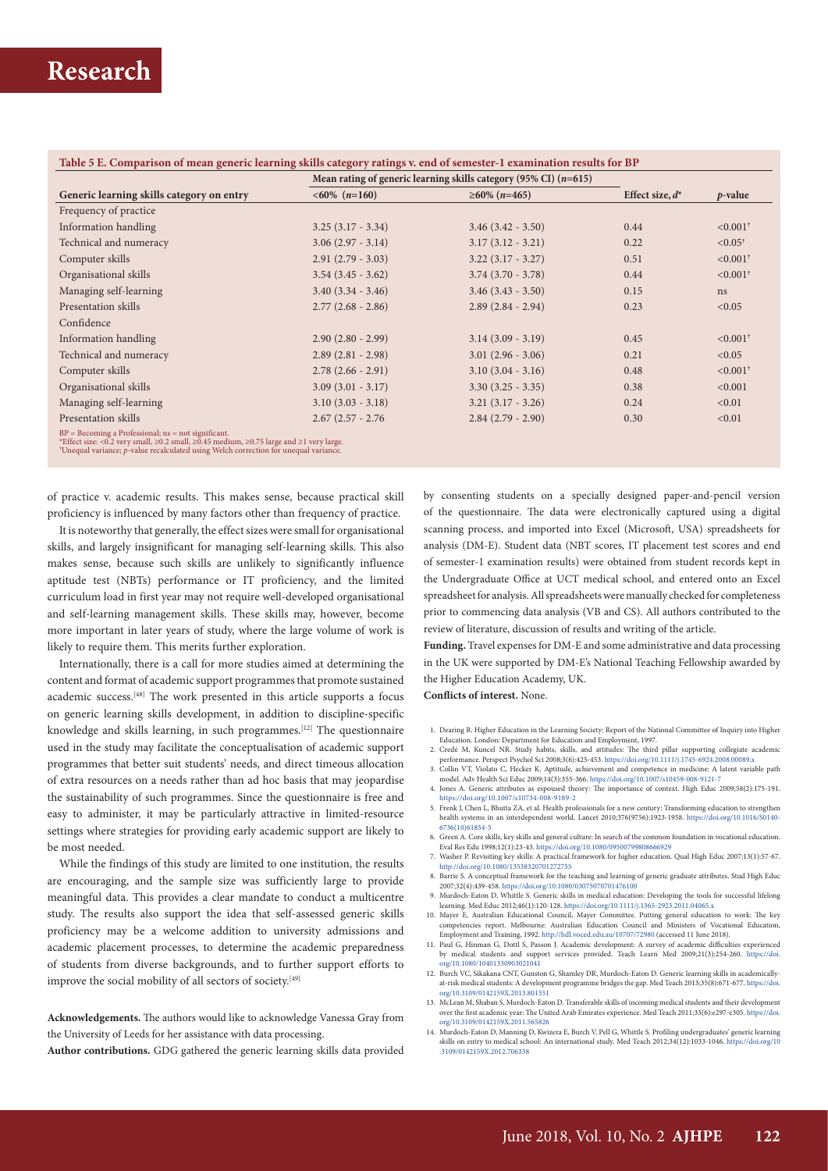|                                           | Mean rating of generic learning skills category (95% CI) $(n=615)$ |                        |                    |                        |
|-------------------------------------------|--------------------------------------------------------------------|------------------------|--------------------|------------------------|
| Generic learning skills category on entry | $<60\%$ (n=160)                                                    | $\geq 60\%$ (n=465)    | Effect size, $d^*$ | <i>p</i> -value        |
| Frequency of practice                     |                                                                    |                        |                    |                        |
| Information handling                      | $3.25(3.17 - 3.34)$                                                | $3.46$ $(3.42 - 3.50)$ | 0.44               | $< 0.001$ <sup>†</sup> |
| Technical and numeracy                    | $3.06(2.97 - 3.14)$                                                | $3.17(3.12 - 3.21)$    | 0.22               | $< 0.05$ <sup>†</sup>  |
| Computer skills                           | $2.91(2.79 - 3.03)$                                                | $3.22(3.17 - 3.27)$    | 0.51               | $< 0.001$ <sup>†</sup> |
| Organisational skills                     | $3.54$ $(3.45 - 3.62)$                                             | $3.74$ $(3.70 - 3.78)$ | 0.44               | $< 0.001$ <sup>†</sup> |
| Managing self-learning                    | $3.40(3.34 - 3.46)$                                                | $3.46$ $(3.43 - 3.50)$ | 0.15               | ns                     |
| Presentation skills                       | $2.77(2.68 - 2.86)$                                                | $2.89(2.84 - 2.94)$    | 0.23               | < 0.05                 |
| Confidence                                |                                                                    |                        |                    |                        |
| Information handling                      | $2.90(2.80 - 2.99)$                                                | $3.14(3.09 - 3.19)$    | 0.45               | $< 0.001$ <sup>†</sup> |
| Technical and numeracy                    | $2.89(2.81 - 2.98)$                                                | $3.01(2.96 - 3.06)$    | 0.21               | < 0.05                 |
| Computer skills                           | $2.78(2.66 - 2.91)$                                                | $3.10(3.04 - 3.16)$    | 0.48               | $< 0.001$ <sup>†</sup> |
| Organisational skills                     | $3.09(3.01 - 3.17)$                                                | $3.30(3.25 - 3.35)$    | 0.38               | < 0.001                |
| Managing self-learning                    | $3.10$ $(3.03 - 3.18)$                                             | $3.21(3.17 - 3.26)$    | 0.24               | < 0.01                 |
| Presentation skills                       | $2.67$ (2.57 - 2.76)                                               | $2.84(2.79 - 2.90)$    | 0.30               | < 0.01                 |

of practice v. academic results. This makes sense, because practical skill proficiency is influenced by many factors other than frequency of practice.

It is noteworthy that generally, the effect sizes were small for organisational skills, and largely insignificant for managing self-learning skills. This also makes sense, because such skills are unlikely to significantly influence aptitude test (NBTs) performance or IT proficiency, and the limited curriculum load in first year may not require well-developed organisational and self-learning management skills. These skills may, however, become more important in later years of study, where the large volume of work is likely to require them. This merits further exploration.

Internationally, there is a call for more studies aimed at determining the content and format of academic support programmes that promote sustained academic success.[48] The work presented in this article supports a focus on generic learning skills development, in addition to discipline-specific knowledge and skills learning, in such programmes.[12] The questionnaire used in the study may facilitate the conceptualisation of academic support programmes that better suit students' needs, and direct timeous allocation of extra resources on a needs rather than ad hoc basis that may jeopardise the sustainability of such programmes. Since the questionnaire is free and easy to administer, it may be particularly attractive in limited-resource settings where strategies for providing early academic support are likely to be most needed.

While the findings of this study are limited to one institution, the results are encouraging, and the sample size was sufficiently large to provide meaningful data. This provides a clear mandate to conduct a multicentre study. The results also support the idea that self-assessed generic skills proficiency may be a welcome addition to university admissions and academic placement processes, to determine the academic preparedness of students from diverse backgrounds, and to further support efforts to improve the social mobility of all sectors of society.<sup>[49]</sup>

**Acknowledgements.** The authors would like to acknowledge Vanessa Gray from the University of Leeds for her assistance with data processing.

**Author contributions.** GDG gathered the generic learning skills data provided

by consenting students on a specially designed paper-and-pencil version of the questionnaire. The data were electronically captured using a digital scanning process, and imported into Excel (Microsoft, USA) spreadsheets for analysis (DM-E). Student data (NBT scores, IT placement test scores and end of semester-1 examination results) were obtained from student records kept in the Undergraduate Office at UCT medical school, and entered onto an Excel spreadsheet for analysis. All spreadsheets were manually checked for completeness prior to commencing data analysis (VB and CS). All authors contributed to the review of literature, discussion of results and writing of the article.

**Funding.** Travel expenses for DM-E and some administrative and data processing in the UK were supported by DM-E's National Teaching Fellowship awarded by the Higher Education Academy, UK.

**Conflicts of interest.** None.

- 1. Dearing R. Higher Education in the Learning Society: Report of the National Committee of Inquiry into Higher Education. London: Department for Education and Employment, 1997. 2. Credé M, Kuncel NR. Study habits, skills, and attitudes: The third pillar supporting collegiate academic
- performance. Perspect Psychol Sci 2008;3(6):425-453. https://doi.org/10.1111/j.1745-6924.2008.00089.x 3. Collin VT, Violato C, Hecker K. Aptitude, achievement and competence in medicine: A latent variable path
- model. Adv Health Sci Educ 2009;14(3):355-366.<https://doi.org/10.1007/s10459-008-9121-7>
- 4. Jones A. Generic attributes as espoused theory: The importance of context. High Educ 2009;58(2):175-191. <https://doi.org/10.1007/s10734-008-9189-2>
- 5. Frenk J, Chen L, Bhutta ZA, et al. Health professionals for a new century: Transforming education to strengthen health systems in an interdependent world. Lancet 2010;376(9756):1923-1958. [https://doi.org/10.1016/S0140-](https://doi.org/10.1016/S0140-6736(10)61854-5 ) [6736\(10\)61854-5](https://doi.org/10.1016/S0140-6736(10)61854-5 )
- 6. Green A. Core skills, key skills and general culture: In search of the common foundation in vocational education. Eval Res Edu 1998;12(1):23-43. https://doi.org/10.1080/09500799808666929
- 7. Washer P. Revisiting key skills: A practical framework for higher education. Qual High Educ 2007;13(1):57-67. http://doi.org/10.1080/13538320701272755
- 8. Barrie S. A conceptual framework for the teaching and learning of generic graduate attributes. Stud High Educ<br>2007;32(4):439-458. https://doi.org/10.1080/03075070701476100<br>9. Murdoch-Eaton D, Whittle S. Generic skills i
- learning. Med Educ 2012;46(1):120-128. <https://doi.org/10.1111/j.1365-2923.2011.04065.x>
- 10. Mayer E, Australian Educational Council, Mayer Committee. Putting general education to work: The key competencies report. Melbourne: Australian Education Council and Ministers of Vocational Education, Employment and Training, 1992. http://hdl.voced.edu.au/10707/72980 (accessed 11 June 2018). 11. Paul G, Hinman G, Dottl S, Passon J. Academic development: A survey of academic difficulties experienced
- by medical students and support services provided. Teach Learn Med 2009;21(3):254-260. [https://doi.](https://doi.org/10.1080/10401330903021041 ) [org/10.1080/10401330903021041](https://doi.org/10.1080/10401330903021041 )
- 12. Burch VC, Sikakana CNT, Gunston G, Shamley DR, Murdoch-Eaton D. Generic learning skills in academicallyat-risk medical students: A development programme bridges the gap. Med Teach 2013;35(8):671-677. [https://doi.](https://doi.org/10.3109/0142159X.2013.801551 ) [org/10.3109/0142159X.2013.801551](https://doi.org/10.3109/0142159X.2013.801551 )
- 13. McLean M, Shaban S, Murdoch-Eaton D. Transferable skills of incoming medical students and their development over the first academic year: The United Arab Emirates experience. Med Teach 2011;33(6):e297-e305. [https://doi.](https://doi.org/10.3109/0142159X.2011.565826 ) [org/10.3109/0142159X.2011.565826](https://doi.org/10.3109/0142159X.2011.565826 )
- 14. Murdoch-Eaton D, Manning D, Kwizera E, Burch V, Pell G, Whittle S. Profiling undergraduates' generic learning skills on entry to medical school: An international study. Med Teach 2012;34(12):1033-1046. [https://doi.org/10](https://doi.org/10.3109/0142159X.2012.706338 ) [.3109/0142159X.2012.706338](https://doi.org/10.3109/0142159X.2012.706338 )